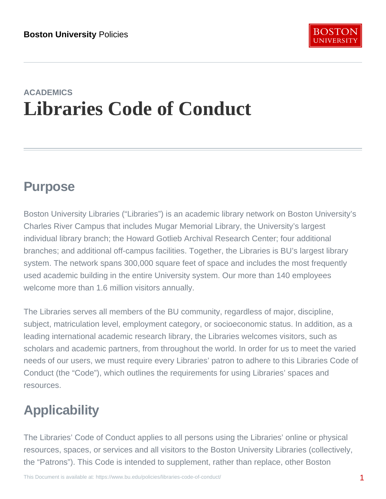# ACADEMICS Libraries Code of Conduct

# Purpose

Boston University Libraries ("Libraries") is an academic library network on Boston University's Charles River Campus that includes Mugar Memorial Library, the University's largest individual library branch; the Howard Gotlieb Archival Research Center; four additional branches; and additional off-campus facilities. Together, the Libraries is BU's largest library system. The network spans 300,000 square feet of space and includes the most frequently used academic building in the entire University system. Our more than 140 employees welcome more than 1.6 million visitors annually.

The Libraries serves all members of the BU community, regardless of major, discipline, subject, matriculation level, employment category, or socioeconomic status. In addition, as a leading international academic research library, the Libraries welcomes visitors, such as scholars and academic partners, from throughout the world. In order for us to meet the varied needs of our users, we must require every Libraries' patron to adhere to this Libraries Code of Conduct (the "Code"), which outlines the requirements for using Libraries' spaces and resources.

# **Applicability**

The Libraries' Code of Conduct applies to all persons using the Libraries' online or physical resources, spaces, or services and all visitors to the Boston University Libraries (collectively, the "Patrons"). This Code is intended to supplement, rather than replace, other Boston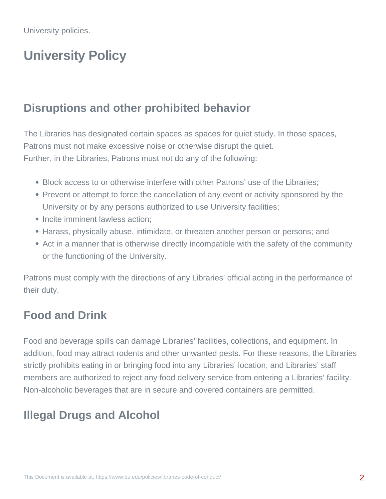# **University Policy**

#### **Disruptions and other prohibited behavior**

The Libraries has designated certain spaces as spaces for quiet study. In those spaces, Patrons must not make excessive noise or otherwise disrupt the quiet. Further, in the Libraries, Patrons must not do any of the following:

- Block access to or otherwise interfere with other Patrons' use of the Libraries;
- Prevent or attempt to force the cancellation of any event or activity sponsored by the University or by any persons authorized to use University facilities;
- Incite imminent lawless action:
- Harass, physically abuse, intimidate, or threaten another person or persons; and
- Act in a manner that is otherwise directly incompatible with the safety of the community or the functioning of the University.

Patrons must comply with the directions of any Libraries' official acting in the performance of their duty.

#### **Food and Drink**

Food and beverage spills can damage Libraries' facilities, collections, and equipment. In addition, food may attract rodents and other unwanted pests. For these reasons, the Libraries strictly prohibits eating in or bringing food into any Libraries' location, and Libraries' staff members are authorized to reject any food delivery service from entering a Libraries' facility. Non-alcoholic beverages that are in secure and covered containers are permitted.

# **Illegal Drugs and Alcohol**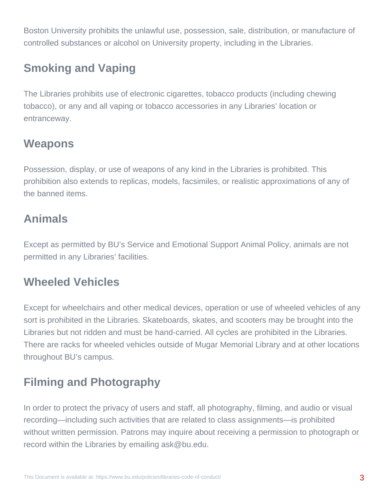Boston University prohibits the unlawful use, possession, sale, distribution, or manufacture of controlled substances or alcohol on University property, including in the Libraries.

## **Smoking and Vaping**

The Libraries prohibits use of electronic cigarettes, tobacco products (including chewing tobacco), or any and all vaping or tobacco accessories in any Libraries' location or entranceway.

# **Weapons**

Possession, display, or use of weapons of any kind in the Libraries is prohibited. This prohibition also extends to replicas, models, facsimiles, or realistic approximations of any of the banned items.

## **Animals**

Except as permitted by BU's Service and Emotional Support Animal Policy, animals are not permitted in any Libraries' facilities.

## **Wheeled Vehicles**

Except for wheelchairs and other medical devices, operation or use of wheeled vehicles of any sort is prohibited in the Libraries. Skateboards, skates, and scooters may be brought into the Libraries but not ridden and must be hand-carried. All cycles are prohibited in the Libraries. There are racks for wheeled vehicles outside of Mugar Memorial Library and at other locations throughout BU's campus.

# **Filming and Photography**

In order to protect the privacy of users and staff, all photography, filming, and audio or visual recording—including such activities that are related to class assignments—is prohibited without written permission. Patrons may inquire about receiving a permission to photograph or record within the Libraries by emailing ask@bu.edu.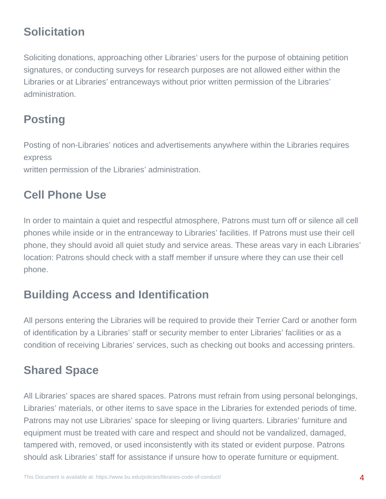# **Solicitation**

Soliciting donations, approaching other Libraries' users for the purpose of obtaining petition signatures, or conducting surveys for research purposes are not allowed either within the Libraries or at Libraries' entranceways without prior written permission of the Libraries' administration.

# **Posting**

Posting of non-Libraries' notices and advertisements anywhere within the Libraries requires express

written permission of the Libraries' administration.

#### **Cell Phone Use**

In order to maintain a quiet and respectful atmosphere, Patrons must turn off or silence all cell phones while inside or in the entranceway to Libraries' facilities. If Patrons must use their cell phone, they should avoid all quiet study and service areas. These areas vary in each Libraries' location: Patrons should check with a staff member if unsure where they can use their cell phone.

#### **Building Access and Identification**

All persons entering the Libraries will be required to provide their Terrier Card or another form of identification by a Libraries' staff or security member to enter Libraries' facilities or as a condition of receiving Libraries' services, such as checking out books and accessing printers.

## **Shared Space**

All Libraries' spaces are shared spaces. Patrons must refrain from using personal belongings, Libraries' materials, or other items to save space in the Libraries for extended periods of time. Patrons may not use Libraries' space for sleeping or living quarters. Libraries' furniture and equipment must be treated with care and respect and should not be vandalized, damaged, tampered with, removed, or used inconsistently with its stated or evident purpose. Patrons should ask Libraries' staff for assistance if unsure how to operate furniture or equipment.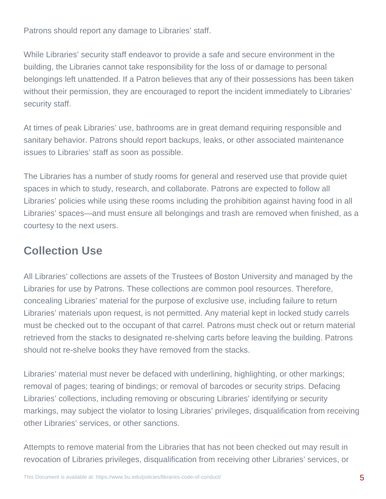Patrons should report any damage to Libraries' staff.

While Libraries' security staff endeavor to provide a safe and secure environment in the building, the Libraries cannot take responsibility for the loss of or damage to personal belongings left unattended. If a Patron believes that any of their possessions has been taken without their permission, they are encouraged to report the incident immediately to Libraries' security staff.

At times of peak Libraries' use, bathrooms are in great demand requiring responsible and sanitary behavior. Patrons should report backups, leaks, or other associated maintenance issues to Libraries' staff as soon as possible.

The Libraries has a number of study rooms for general and reserved use that provide quiet spaces in which to study, research, and collaborate. Patrons are expected to follow all Libraries' policies while using these rooms including the prohibition against having food in all Libraries' spaces—and must ensure all belongings and trash are removed when finished, as a courtesy to the next users.

# **Collection Use**

All Libraries' collections are assets of the Trustees of Boston University and managed by the Libraries for use by Patrons. These collections are common pool resources. Therefore, concealing Libraries' material for the purpose of exclusive use, including failure to return Libraries' materials upon request, is not permitted. Any material kept in locked study carrels must be checked out to the occupant of that carrel. Patrons must check out or return material retrieved from the stacks to designated re-shelving carts before leaving the building. Patrons should not re-shelve books they have removed from the stacks.

Libraries' material must never be defaced with underlining, highlighting, or other markings; removal of pages; tearing of bindings; or removal of barcodes or security strips. Defacing Libraries' collections, including removing or obscuring Libraries' identifying or security markings, may subject the violator to losing Libraries' privileges, disqualification from receiving other Libraries' services, or other sanctions.

Attempts to remove material from the Libraries that has not been checked out may result in revocation of Libraries privileges, disqualification from receiving other Libraries' services, or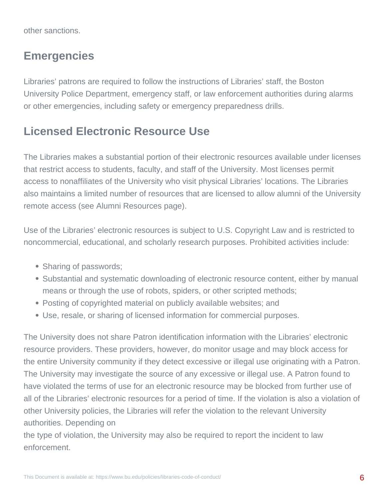other sanctions.

#### **Emergencies**

Libraries' patrons are required to follow the instructions of Libraries' staff, the Boston University Police Department, emergency staff, or law enforcement authorities during alarms or other emergencies, including safety or emergency preparedness drills.

#### **Licensed Electronic Resource Use**

The Libraries makes a substantial portion of their electronic resources available under licenses that restrict access to students, faculty, and staff of the University. Most licenses permit access to nonaffiliates of the University who visit physical Libraries' locations. The Libraries also maintains a limited number of resources that are licensed to allow alumni of the University remote access (see Alumni Resources page).

Use of the Libraries' electronic resources is subject to U.S. Copyright Law and is restricted to noncommercial, educational, and scholarly research purposes. Prohibited activities include:

- Sharing of passwords;
- Substantial and systematic downloading of electronic resource content, either by manual means or through the use of robots, spiders, or other scripted methods;
- Posting of copyrighted material on publicly available websites; and
- Use, resale, or sharing of licensed information for commercial purposes.

The University does not share Patron identification information with the Libraries' electronic resource providers. These providers, however, do monitor usage and may block access for the entire University community if they detect excessive or illegal use originating with a Patron. The University may investigate the source of any excessive or illegal use. A Patron found to have violated the terms of use for an electronic resource may be blocked from further use of all of the Libraries' electronic resources for a period of time. If the violation is also a violation of other University policies, the Libraries will refer the violation to the relevant University authorities. Depending on

the type of violation, the University may also be required to report the incident to law enforcement.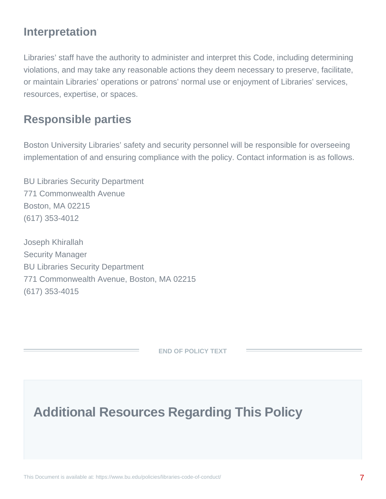#### **Interpretation**

Libraries' staff have the authority to administer and interpret this Code, including determining violations, and may take any reasonable actions they deem necessary to preserve, facilitate, or maintain Libraries' operations or patrons' normal use or enjoyment of Libraries' services, resources, expertise, or spaces.

#### **Responsible parties**

Boston University Libraries' safety and security personnel will be responsible for overseeing implementation of and ensuring compliance with the policy. Contact information is as follows.

BU Libraries Security Department 771 Commonwealth Avenue Boston, MA 02215 (617) 353-4012

Joseph Khirallah Security Manager BU Libraries Security Department 771 Commonwealth Avenue, Boston, MA 02215 (617) 353-4015

**END OF POLICY TEXT**

**Additional Resources Regarding This Policy**